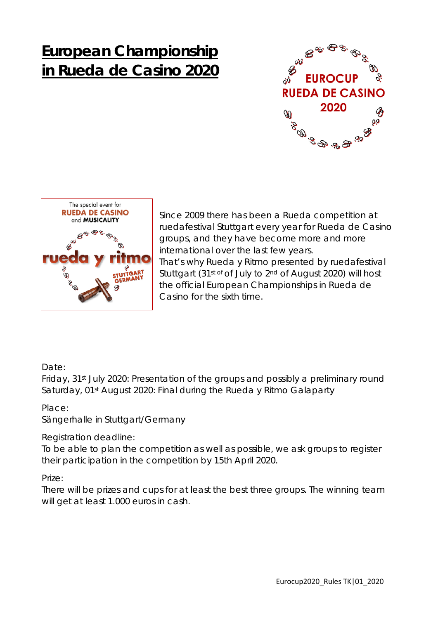# **European Championship in Rueda de Casino 2020**





Since 2009 there has been a Rueda competition at ruedafestival Stuttgart every year for Rueda de Casino groups, and they have become more and more international over the last few years. That's why Rueda y Ritmo presented by ruedafestival Stuttgart (31st of of July to 2nd of August 2020) will host the official European Championships in Rueda de Casino for the sixth time.

# Date:

Friday, 31st July 2020: Presentation of the groups and possibly a preliminary round Saturday, 01<sup>st</sup> August 2020: Final during the Rueda y Ritmo Galaparty

Place:

Sängerhalle in Stuttgart/Germany

Registration deadline:

To be able to plan the competition as well as possible, we ask groups to register their participation in the competition by 15th April 2020.

Prize:

There will be prizes and cups for at least the best three groups. The winning team will get at least 1.000 euros in cash.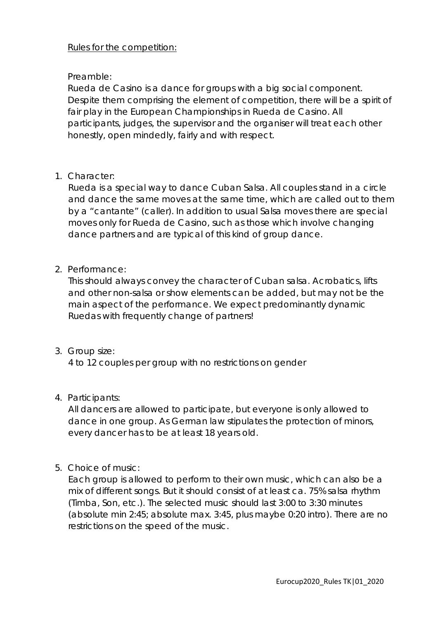### Rules for the competition:

## Preamble:

Rueda de Casino is a dance for groups with a big social component. Despite them comprising the element of competition, there will be a spirit of fair play in the European Championships in Rueda de Casino. All participants, judges, the supervisor and the organiser will treat each other honestly, open mindedly, fairly and with respect.

1. Character:

Rueda is a special way to dance Cuban Salsa. All couples stand in a circle and dance the same moves at the same time, which are called out to them by a "cantante" (caller). In addition to usual Salsa moves there are special moves only for Rueda de Casino, such as those which involve changing dance partners and are typical of this kind of group dance.

2. Performance:

This should always convey the character of Cuban salsa. Acrobatics, lifts and other non-salsa or show elements can be added, but may not be the main aspect of the performance. We expect predominantly dynamic Ruedas with frequently change of partners!

3. Group size:

4 to 12 couples per group with no restrictions on gender

4. Participants:

All dancers are allowed to participate, but everyone is only allowed to dance in one group. As German law stipulates the protection of minors, every dancer has to be at least 18 years old.

5. Choice of music:

Each group is allowed to perform to their own music, which can also be a mix of different songs. But it should consist of at least ca. 75% salsa rhythm (Timba, Son, etc.). The selected music should last 3:00 to 3:30 minutes (absolute min 2:45; absolute max. 3:45, plus maybe 0:20 intro). There are no restrictions on the speed of the music.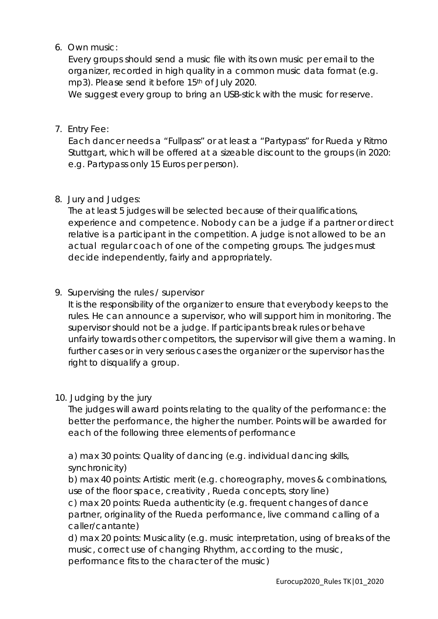# 6. Own music:

Every groups should send a music file with its own music per email to the organizer, recorded in high quality in a common music data format (e.g. mp3). Please send it before 15<sup>th</sup> of July 2020.

We suggest every group to bring an USB-stick with the music for reserve.

7. Entry Fee:

Each dancer needs a "Fullpass" or at least a "Partypass" for Rueda y Ritmo Stuttgart, which will be offered at a sizeable discount to the groups (in 2020: e.g. Partypass only 15 Euros per person).

8. Jury and Judges:

The at least 5 judges will be selected because of their qualifications, experience and competence. Nobody can be a judge if a partner or direct relative is a participant in the competition. A judge is not allowed to be an actual regular coach of one of the competing groups. The judges must decide independently, fairly and appropriately.

9. Supervising the rules / supervisor

It is the responsibility of the organizer to ensure that everybody keeps to the rules. He can announce a supervisor, who will support him in monitoring. The supervisor should not be a judge. If participants break rules or behave unfairly towards other competitors, the supervisor will give them a warning. In further cases or in very serious cases the organizer or the supervisor has the right to disqualify a group.

10. Judging by the jury

The judges will award points relating to the quality of the performance: the better the performance, the higher the number. Points will be awarded for each of the following three elements of performance

a) max 30 points: Quality of dancing (e.g. individual dancing skills, synchronicity)

b) max 40 points: Artistic merit (e.g. choreography, moves & combinations, use of the floor space, creativity , Rueda concepts, story line)

c) max 20 points: Rueda authenticity (e.g. frequent changes of dance partner, originality of the Rueda performance, live command calling of a caller/cantante)

d) max 20 points: Musicality (e.g. music interpretation, using of breaks of the music, correct use of changing Rhythm, according to the music, performance fits to the character of the music)